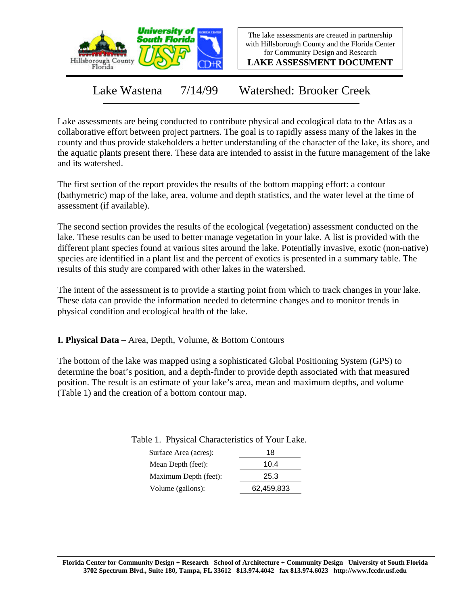

The lake assessments are created in partnership with Hillsborough County and the Florida Center for Community Design and Research

**LAKE ASSESSMENT DOCUMENT**

Lake Wastena 7/14/99 Watershed: Brooker Creek

Lake assessments are being conducted to contribute physical and ecological data to the Atlas as a collaborative effort between project partners. The goal is to rapidly assess many of the lakes in the county and thus provide stakeholders a better understanding of the character of the lake, its shore, and the aquatic plants present there. These data are intended to assist in the future management of the lake and its watershed.

The first section of the report provides the results of the bottom mapping effort: a contour (bathymetric) map of the lake, area, volume and depth statistics, and the water level at the time of assessment (if available).

The second section provides the results of the ecological (vegetation) assessment conducted on the lake. These results can be used to better manage vegetation in your lake. A list is provided with the different plant species found at various sites around the lake. Potentially invasive, exotic (non-native) species are identified in a plant list and the percent of exotics is presented in a summary table. The results of this study are compared with other lakes in the watershed.

The intent of the assessment is to provide a starting point from which to track changes in your lake. These data can provide the information needed to determine changes and to monitor trends in physical condition and ecological health of the lake.

**I. Physical Data –** Area, Depth, Volume, & Bottom Contours

The bottom of the lake was mapped using a sophisticated Global Positioning System (GPS) to determine the boat's position, and a depth-finder to provide depth associated with that measured position. The result is an estimate of your lake's area, mean and maximum depths, and volume (Table 1) and the creation of a bottom contour map.

| Surface Area (acres): | 18         |
|-----------------------|------------|
| Mean Depth (feet):    | 10.4       |
| Maximum Depth (feet): | 25.3       |
| Volume (gallons):     | 62,459,833 |

#### Table 1. Physical Characteristics of Your Lake.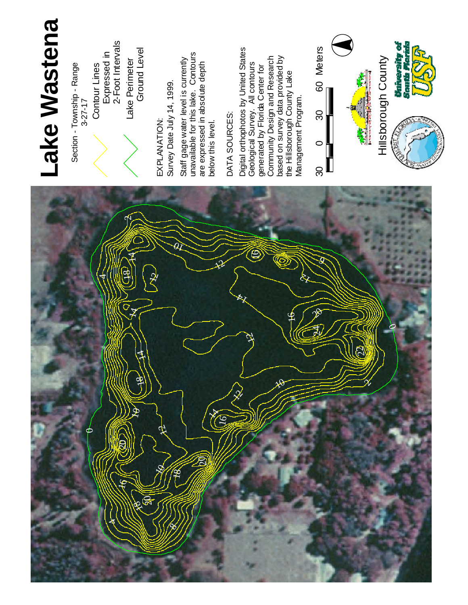

## **ke W a s t e n a**

Section - Township - Range 3 - 2 7 - 1 7 Contour Lines<br>Expressed in<br>2-Foot Intervals

La k e Perimeter Ground Le v el

ATIO N :

Date July 1 4 , 1 9 9 9 .

at e r le v el is currently ble for this lake. Contours expressed in a b s olu t e d e p t h

# SOURCES:

al orthophotos b y U nit e d **States** al Survey. All contours 운 rid a Center for Design a n d **Research** s u r v e y d a t a provided b y Hillsborough County L a k e Management Program.

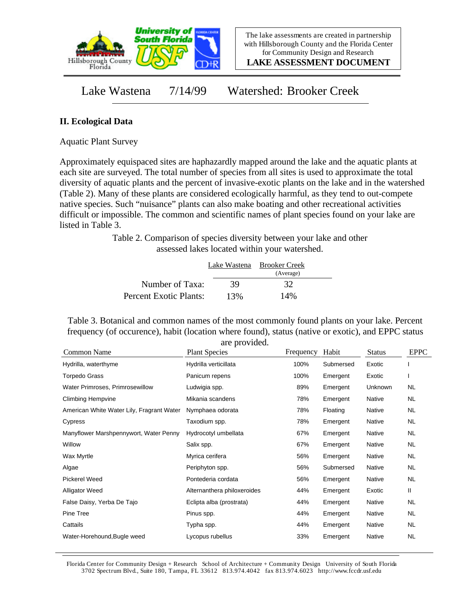

**LAKE ASSESSMENT DOCUMENT**

Lake Wastena 7/14/99 Watershed: Brooker Creek

#### **II. Ecological Data**

Aquatic Plant Survey

Approximately equispaced sites are haphazardly mapped around the lake and the aquatic plants at each site are surveyed. The total number of species from all sites is used to approximate the total diversity of aquatic plants and the percent of invasive-exotic plants on the lake and in the watershed (Table 2). Many of these plants are considered ecologically harmful, as they tend to out-compete native species. Such "nuisance" plants can also make boating and other recreational activities difficult or impossible. The common and scientific names of plant species found on your lake are listed in Table 3.

> Table 2. Comparison of species diversity between your lake and other assessed lakes located within your watershed.

|                        |     | Lake Wastena Brooker Creek<br>(Average) |  |
|------------------------|-----|-----------------------------------------|--|
| Number of Taxa:        | 39  | 32                                      |  |
| Percent Exotic Plants: | 13% | 14%                                     |  |

Table 3. Botanical and common names of the most commonly found plants on your lake. Percent frequency (of occurence), habit (location where found), status (native or exotic), and EPPC status are provided.

| Common Name                               | <b>Plant Species</b>        | Frequency | Habit     | <b>Status</b> | <b>EPPC</b> |
|-------------------------------------------|-----------------------------|-----------|-----------|---------------|-------------|
| Hydrilla, waterthyme                      | Hydrilla verticillata       | 100%      | Submersed | Exotic        |             |
| <b>Torpedo Grass</b>                      | Panicum repens              | 100%      | Emergent  | Exotic        |             |
| Water Primroses, Primrosewillow           | Ludwigia spp.               | 89%       | Emergent  | Unknown       | NL.         |
| <b>Climbing Hempvine</b>                  | Mikania scandens            | 78%       | Emergent  | Native        | NL.         |
| American White Water Lily, Fragrant Water | Nymphaea odorata            | 78%       | Floating  | Native        | NL.         |
| Cypress                                   | Taxodium spp.               | 78%       | Emergent  | Native        | <b>NL</b>   |
| Manyflower Marshpennywort, Water Penny    | Hydrocotyl umbellata        | 67%       | Emergent  | Native        | <b>NL</b>   |
| Willow                                    | Salix spp.                  | 67%       | Emergent  | Native        | <b>NL</b>   |
| Wax Myrtle                                | Myrica cerifera             | 56%       | Emergent  | Native        | NL.         |
| Algae                                     | Periphyton spp.             | 56%       | Submersed | Native        | <b>NL</b>   |
| <b>Pickerel Weed</b>                      | Pontederia cordata          | 56%       | Emergent  | Native        | NL          |
| <b>Alligator Weed</b>                     | Alternanthera philoxeroides | 44%       | Emergent  | Exotic        | Ш           |
| False Daisy, Yerba De Tajo                | Eclipta alba (prostrata)    | 44%       | Emergent  | Native        | <b>NL</b>   |
| Pine Tree                                 | Pinus spp.                  | 44%       | Emergent  | Native        | NL.         |
| Cattails                                  | Typha spp.                  | 44%       | Emergent  | Native        | NL.         |
| Water-Horehound, Bugle weed               | Lycopus rubellus            | 33%       | Emergent  | Native        | <b>NL</b>   |

Florida Center for Community Design + Research School of Architecture + Community Design University of South Florida 3702 Spectrum Blvd., Suite 180, Tampa, FL 33612 813.974.4042 fax 813.974.6023 http://www.fccdr.usf.edu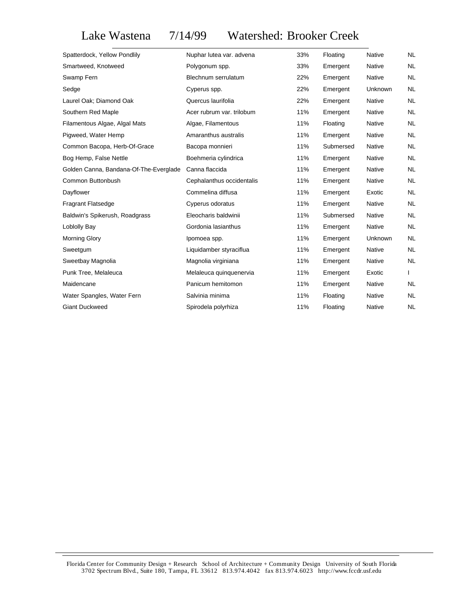### Lake Wastena 7/14/99 Watershed: Brooker Creek

| Spatterdock, Yellow Pondlily           | Nuphar lutea var. advena  | 33% | Floating  | <b>Native</b>  | NL        |
|----------------------------------------|---------------------------|-----|-----------|----------------|-----------|
| Smartweed, Knotweed                    | Polygonum spp.            | 33% | Emergent  | Native         | <b>NL</b> |
| Swamp Fern                             | Blechnum serrulatum       | 22% | Emergent  | Native         | <b>NL</b> |
| Sedge                                  | Cyperus spp.              | 22% | Emergent  | <b>Unknown</b> | <b>NL</b> |
| Laurel Oak; Diamond Oak                | Quercus laurifolia        | 22% | Emergent  | Native         | NL.       |
| Southern Red Maple                     | Acer rubrum var. trilobum | 11% | Emergent  | <b>Native</b>  | <b>NL</b> |
| Filamentous Algae, Algal Mats          | Algae, Filamentous        | 11% | Floating  | Native         | NL.       |
| Pigweed, Water Hemp                    | Amaranthus australis      | 11% | Emergent  | Native         | <b>NL</b> |
| Common Bacopa, Herb-Of-Grace           | Bacopa monnieri           | 11% | Submersed | Native         | NL.       |
| Bog Hemp, False Nettle                 | Boehmeria cylindrica      | 11% | Emergent  | Native         | NL.       |
| Golden Canna, Bandana-Of-The-Everglade | Canna flaccida            | 11% | Emergent  | Native         | <b>NL</b> |
| Common Buttonbush                      | Cephalanthus occidentalis | 11% | Emergent  | Native         | NL.       |
| Dayflower                              | Commelina diffusa         | 11% | Emergent  | Exotic         | <b>NL</b> |
| <b>Fragrant Flatsedge</b>              | Cyperus odoratus          | 11% | Emergent  | Native         | NL.       |
| Baldwin's Spikerush, Roadgrass         | Eleocharis baldwinii      | 11% | Submersed | <b>Native</b>  | NL.       |
| Loblolly Bay                           | Gordonia lasianthus       | 11% | Emergent  | Native         | NL.       |
| Morning Glory                          | Ipomoea spp.              | 11% | Emergent  | Unknown        | <b>NL</b> |
| Sweetgum                               | Liquidamber styraciflua   | 11% | Emergent  | Native         | NL.       |
| Sweetbay Magnolia                      | Magnolia virginiana       | 11% | Emergent  | Native         | NL        |
| Punk Tree, Melaleuca                   | Melaleuca quinquenervia   | 11% | Emergent  | Exotic         |           |
| Maidencane                             | Panicum hemitomon         | 11% | Emergent  | Native         | NL.       |
| Water Spangles, Water Fern             | Salvinia minima           | 11% | Floating  | Native         | <b>NL</b> |
| <b>Giant Duckweed</b>                  | Spirodela polyrhiza       | 11% | Floating  | Native         | NL.       |
|                                        |                           |     |           |                |           |